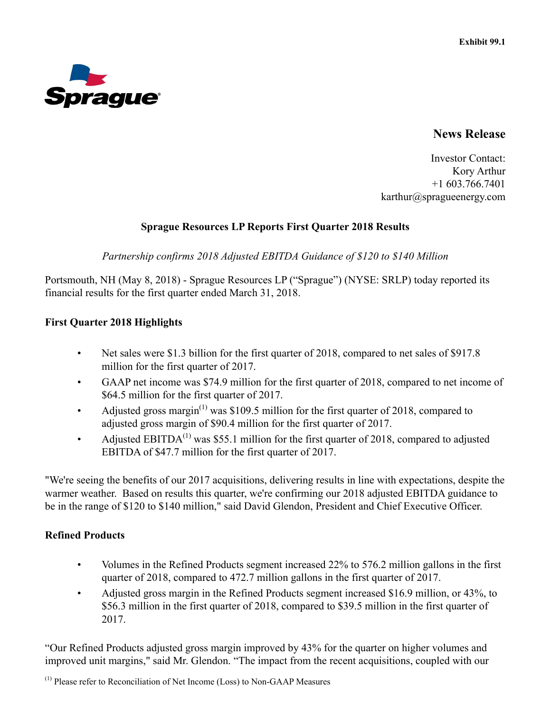

## **News Release**

Investor Contact: Kory Arthur +1 603.766.7401 karthur@spragueenergy.com

#### **Sprague Resources LP Reports First Quarter 2018 Results**

*Partnership confirms 2018 Adjusted EBITDA Guidance of \$120 to \$140 Million*

Portsmouth, NH (May 8, 2018) - Sprague Resources LP ("Sprague") (NYSE: SRLP) today reported its financial results for the first quarter ended March 31, 2018.

### **First Quarter 2018 Highlights**

- Net sales were \$1.3 billion for the first quarter of 2018, compared to net sales of \$917.8 million for the first quarter of 2017.
- GAAP net income was \$74.9 million for the first quarter of 2018, compared to net income of \$64.5 million for the first quarter of 2017.
- Adjusted gross margin<sup>(1)</sup> was \$109.5 million for the first quarter of 2018, compared to adjusted gross margin of \$90.4 million for the first quarter of 2017.
- Adjusted EBITDA<sup>(1)</sup> was \$55.1 million for the first quarter of 2018, compared to adjusted EBITDA of \$47.7 million for the first quarter of 2017.

"We're seeing the benefits of our 2017 acquisitions, delivering results in line with expectations, despite the warmer weather. Based on results this quarter, we're confirming our 2018 adjusted EBITDA guidance to be in the range of \$120 to \$140 million," said David Glendon, President and Chief Executive Officer.

# **Refined Products**

- Volumes in the Refined Products segment increased 22% to 576.2 million gallons in the first quarter of 2018, compared to 472.7 million gallons in the first quarter of 2017.
- Adjusted gross margin in the Refined Products segment increased \$16.9 million, or 43%, to \$56.3 million in the first quarter of 2018, compared to \$39.5 million in the first quarter of 2017.

"Our Refined Products adjusted gross margin improved by 43% for the quarter on higher volumes and improved unit margins," said Mr. Glendon. "The impact from the recent acquisitions, coupled with our

 $<sup>(1)</sup>$  Please refer to Reconciliation of Net Income (Loss) to Non-GAAP Measures</sup>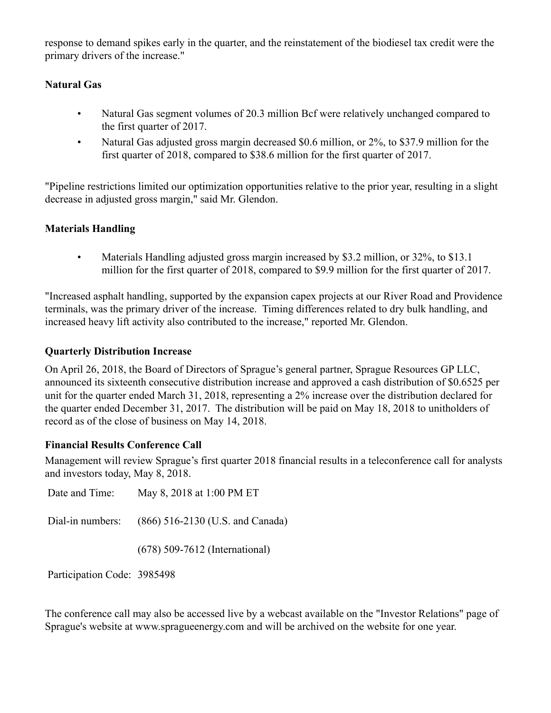response to demand spikes early in the quarter, and the reinstatement of the biodiesel tax credit were the primary drivers of the increase."

# **Natural Gas**

- Natural Gas segment volumes of 20.3 million Bcf were relatively unchanged compared to the first quarter of 2017.
- Natural Gas adjusted gross margin decreased \$0.6 million, or 2%, to \$37.9 million for the first quarter of 2018, compared to \$38.6 million for the first quarter of 2017.

"Pipeline restrictions limited our optimization opportunities relative to the prior year, resulting in a slight decrease in adjusted gross margin," said Mr. Glendon.

# **Materials Handling**

• Materials Handling adjusted gross margin increased by \$3.2 million, or 32%, to \$13.1 million for the first quarter of 2018, compared to \$9.9 million for the first quarter of 2017.

"Increased asphalt handling, supported by the expansion capex projects at our River Road and Providence terminals, was the primary driver of the increase. Timing differences related to dry bulk handling, and increased heavy lift activity also contributed to the increase," reported Mr. Glendon.

## **Quarterly Distribution Increase**

On April 26, 2018, the Board of Directors of Sprague's general partner, Sprague Resources GP LLC, announced its sixteenth consecutive distribution increase and approved a cash distribution of \$0.6525 per unit for the quarter ended March 31, 2018, representing a 2% increase over the distribution declared for the quarter ended December 31, 2017. The distribution will be paid on May 18, 2018 to unitholders of record as of the close of business on May 14, 2018.

# **Financial Results Conference Call**

Management will review Sprague's first quarter 2018 financial results in a teleconference call for analysts and investors today, May 8, 2018.

Date and Time: May 8, 2018 at 1:00 PM ET Dial-in numbers: (866) 516-2130 (U.S. and Canada) (678) 509-7612 (International)

Participation Code: 3985498

The conference call may also be accessed live by a webcast available on the "Investor Relations" page of Sprague's website at www.spragueenergy.com and will be archived on the website for one year.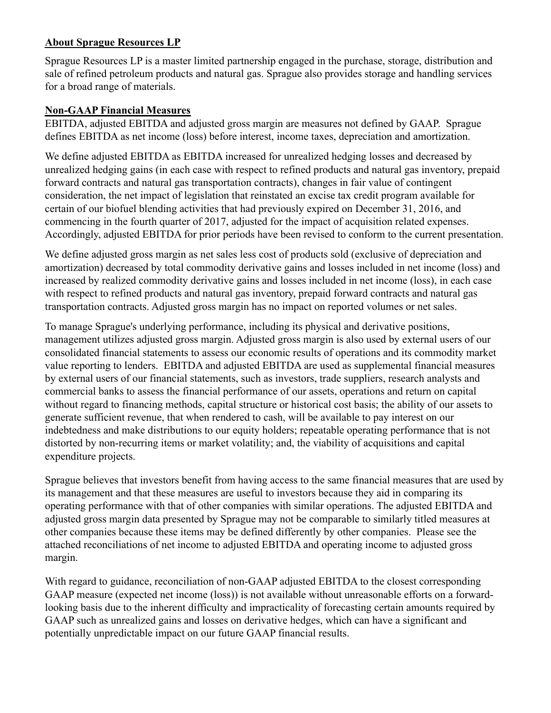### **About Sprague Resources LP**

Sprague Resources LP is a master limited partnership engaged in the purchase, storage, distribution and sale of refined petroleum products and natural gas. Sprague also provides storage and handling services for a broad range of materials.

### **Non-GAAP Financial Measures**

EBITDA, adjusted EBITDA and adjusted gross margin are measures not defined by GAAP. Sprague defines EBITDA as net income (loss) before interest, income taxes, depreciation and amortization.

We define adjusted EBITDA as EBITDA increased for unrealized hedging losses and decreased by unrealized hedging gains (in each case with respect to refined products and natural gas inventory, prepaid forward contracts and natural gas transportation contracts), changes in fair value of contingent consideration, the net impact of legislation that reinstated an excise tax credit program available for certain of our biofuel blending activities that had previously expired on December 31, 2016, and commencing in the fourth quarter of 2017, adjusted for the impact of acquisition related expenses. Accordingly, adjusted EBITDA for prior periods have been revised to conform to the current presentation.

We define adjusted gross margin as net sales less cost of products sold (exclusive of depreciation and amortization) decreased by total commodity derivative gains and losses included in net income (loss) and increased by realized commodity derivative gains and losses included in net income (loss), in each case with respect to refined products and natural gas inventory, prepaid forward contracts and natural gas transportation contracts. Adjusted gross margin has no impact on reported volumes or net sales.

To manage Sprague's underlying performance, including its physical and derivative positions, management utilizes adjusted gross margin. Adjusted gross margin is also used by external users of our consolidated financial statements to assess our economic results of operations and its commodity market value reporting to lenders. EBITDA and adjusted EBITDA are used as supplemental financial measures by external users of our financial statements, such as investors, trade suppliers, research analysts and commercial banks to assess the financial performance of our assets, operations and return on capital without regard to financing methods, capital structure or historical cost basis; the ability of our assets to generate sufficient revenue, that when rendered to cash, will be available to pay interest on our indebtedness and make distributions to our equity holders; repeatable operating performance that is not distorted by non-recurring items or market volatility; and, the viability of acquisitions and capital expenditure projects.

Sprague believes that investors benefit from having access to the same financial measures that are used by its management and that these measures are useful to investors because they aid in comparing its operating performance with that of other companies with similar operations. The adjusted EBITDA and adjusted gross margin data presented by Sprague may not be comparable to similarly titled measures at other companies because these items may be defined differently by other companies. Please see the attached reconciliations of net income to adjusted EBITDA and operating income to adjusted gross margin.

With regard to guidance, reconciliation of non-GAAP adjusted EBITDA to the closest corresponding GAAP measure (expected net income (loss)) is not available without unreasonable efforts on a forwardlooking basis due to the inherent difficulty and impracticality of forecasting certain amounts required by GAAP such as unrealized gains and losses on derivative hedges, which can have a significant and potentially unpredictable impact on our future GAAP financial results.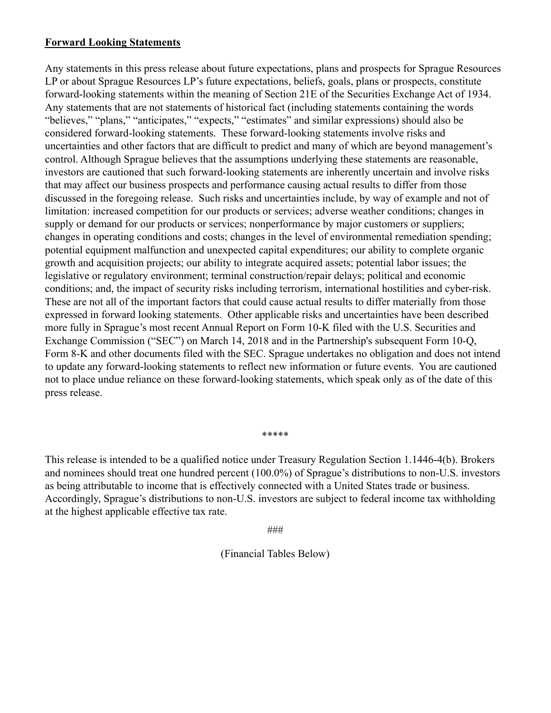#### **Forward Looking Statements**

Any statements in this press release about future expectations, plans and prospects for Sprague Resources LP or about Sprague Resources LP's future expectations, beliefs, goals, plans or prospects, constitute forward-looking statements within the meaning of Section 21E of the Securities Exchange Act of 1934. Any statements that are not statements of historical fact (including statements containing the words "believes," "plans," "anticipates," "expects," "estimates" and similar expressions) should also be considered forward-looking statements. These forward-looking statements involve risks and uncertainties and other factors that are difficult to predict and many of which are beyond management's control. Although Sprague believes that the assumptions underlying these statements are reasonable, investors are cautioned that such forward-looking statements are inherently uncertain and involve risks that may affect our business prospects and performance causing actual results to differ from those discussed in the foregoing release. Such risks and uncertainties include, by way of example and not of limitation: increased competition for our products or services; adverse weather conditions; changes in supply or demand for our products or services; nonperformance by major customers or suppliers; changes in operating conditions and costs; changes in the level of environmental remediation spending; potential equipment malfunction and unexpected capital expenditures; our ability to complete organic growth and acquisition projects; our ability to integrate acquired assets; potential labor issues; the legislative or regulatory environment; terminal construction/repair delays; political and economic conditions; and, the impact of security risks including terrorism, international hostilities and cyber-risk. These are not all of the important factors that could cause actual results to differ materially from those expressed in forward looking statements. Other applicable risks and uncertainties have been described more fully in Sprague's most recent Annual Report on Form 10-K filed with the U.S. Securities and Exchange Commission ("SEC") on March 14, 2018 and in the Partnership's subsequent Form 10-Q, Form 8-K and other documents filed with the SEC. Sprague undertakes no obligation and does not intend to update any forward-looking statements to reflect new information or future events. You are cautioned not to place undue reliance on these forward-looking statements, which speak only as of the date of this press release.

#### \*\*\*\*\*

This release is intended to be a qualified notice under Treasury Regulation Section 1.1446-4(b). Brokers and nominees should treat one hundred percent (100.0%) of Sprague's distributions to non-U.S. investors as being attributable to income that is effectively connected with a United States trade or business. Accordingly, Sprague's distributions to non-U.S. investors are subject to federal income tax withholding at the highest applicable effective tax rate.

###

(Financial Tables Below)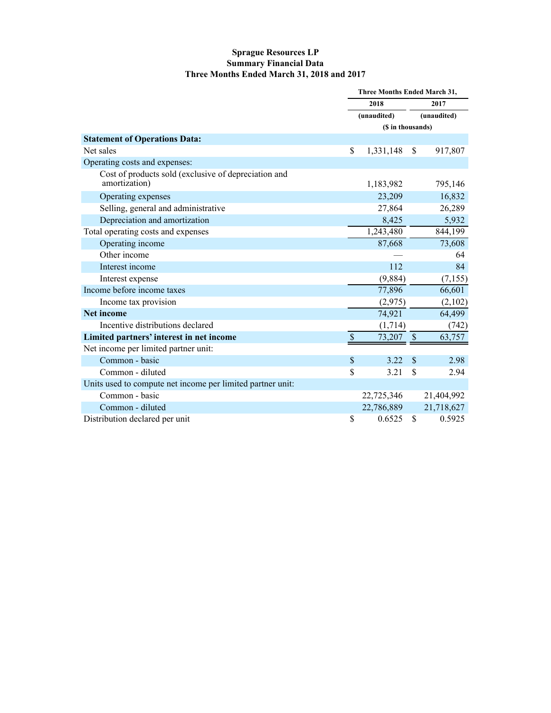#### **Sprague Resources LP Summary Financial Data Three Months Ended March 31, 2018 and 2017**

|                                                                       |               | <b>Three Months Ended March 31,</b> |                           |                     |  |  |
|-----------------------------------------------------------------------|---------------|-------------------------------------|---------------------------|---------------------|--|--|
|                                                                       |               | 2018<br>(unaudited)                 |                           | 2017<br>(unaudited) |  |  |
|                                                                       |               |                                     |                           |                     |  |  |
|                                                                       |               | (\$ in thousands)                   |                           |                     |  |  |
| <b>Statement of Operations Data:</b>                                  |               |                                     |                           |                     |  |  |
| Net sales                                                             | \$            | 1,331,148                           | $\mathbb{S}$              | 917,807             |  |  |
| Operating costs and expenses:                                         |               |                                     |                           |                     |  |  |
| Cost of products sold (exclusive of depreciation and<br>amortization) |               | 1,183,982                           |                           | 795,146             |  |  |
| Operating expenses                                                    |               | 23,209                              |                           | 16,832              |  |  |
| Selling, general and administrative                                   |               | 27,864                              |                           | 26,289              |  |  |
| Depreciation and amortization                                         |               | 8,425                               |                           | 5,932               |  |  |
| Total operating costs and expenses                                    |               | 1,243,480                           |                           | 844,199             |  |  |
| Operating income                                                      |               | 87,668                              |                           | 73,608              |  |  |
| Other income                                                          |               |                                     |                           | 64                  |  |  |
| Interest income                                                       |               | 112                                 |                           | 84                  |  |  |
| Interest expense                                                      |               | (9,884)                             |                           | (7, 155)            |  |  |
| Income before income taxes                                            |               | 77,896                              |                           | 66,601              |  |  |
| Income tax provision                                                  |               | (2,975)                             |                           | (2,102)             |  |  |
| <b>Net income</b>                                                     |               | 74,921                              |                           | 64,499              |  |  |
| Incentive distributions declared                                      |               | (1,714)                             |                           | (742)               |  |  |
| Limited partners' interest in net income                              | $\mathcal{S}$ | 73,207                              | $\boldsymbol{\mathsf{S}}$ | 63,757              |  |  |
| Net income per limited partner unit:                                  |               |                                     |                           |                     |  |  |
| Common - basic                                                        | $\$$          | 3.22                                | \$                        | 2.98                |  |  |
| Common - diluted                                                      | \$            | 3.21                                | \$                        | 2.94                |  |  |
| Units used to compute net income per limited partner unit:            |               |                                     |                           |                     |  |  |
| Common - basic                                                        |               | 22,725,346                          |                           | 21,404,992          |  |  |
| Common - diluted                                                      |               | 22,786,889                          |                           | 21,718,627          |  |  |
| Distribution declared per unit                                        | \$            | 0.6525                              | \$.                       | 0.5925              |  |  |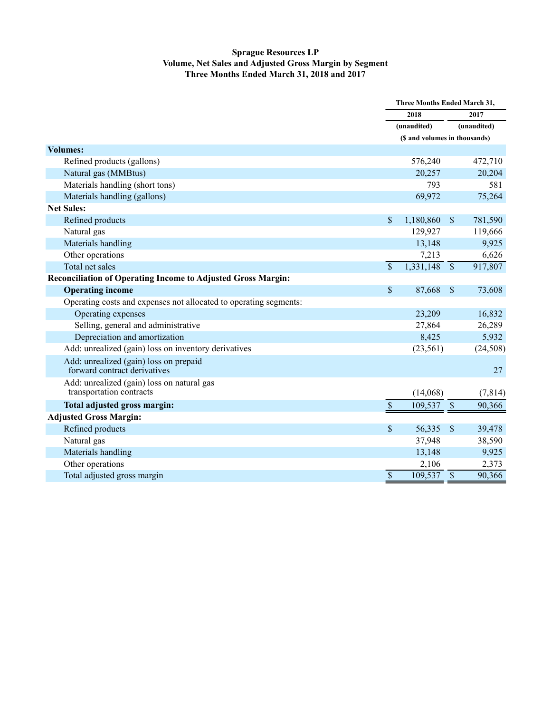#### **Sprague Resources LP Volume, Net Sales and Adjusted Gross Margin by Segment Three Months Ended March 31, 2018 and 2017**

|                                                                        |                         | Three Months Ended March 31,  |                          |                     |  |
|------------------------------------------------------------------------|-------------------------|-------------------------------|--------------------------|---------------------|--|
|                                                                        |                         | 2018<br>(unaudited)           |                          | 2017<br>(unaudited) |  |
|                                                                        |                         |                               |                          |                     |  |
|                                                                        |                         | (\$ and volumes in thousands) |                          |                     |  |
| <b>Volumes:</b>                                                        |                         |                               |                          |                     |  |
| Refined products (gallons)                                             |                         | 576,240                       |                          | 472,710             |  |
| Natural gas (MMBtus)                                                   |                         | 20,257                        |                          | 20,204              |  |
| Materials handling (short tons)                                        |                         | 793                           |                          | 581                 |  |
| Materials handling (gallons)                                           |                         | 69,972                        |                          | 75,264              |  |
| <b>Net Sales:</b>                                                      |                         |                               |                          |                     |  |
| Refined products                                                       | $\mathbb{S}$            | 1,180,860                     | $\mathcal{S}$            | 781,590             |  |
| Natural gas                                                            |                         | 129,927                       |                          | 119,666             |  |
| Materials handling                                                     |                         | 13,148                        |                          | 9,925               |  |
| Other operations                                                       |                         | 7,213                         |                          | 6,626               |  |
| Total net sales                                                        | $\overline{\mathbf{s}}$ | 1,331,148                     | $\overline{\mathcal{S}}$ | 917,807             |  |
| Reconciliation of Operating Income to Adjusted Gross Margin:           |                         |                               |                          |                     |  |
| <b>Operating income</b>                                                | \$                      | 87,668                        | $\mathcal{S}$            | 73,608              |  |
| Operating costs and expenses not allocated to operating segments:      |                         |                               |                          |                     |  |
| Operating expenses                                                     |                         | 23,209                        |                          | 16,832              |  |
| Selling, general and administrative                                    |                         | 27,864                        |                          | 26,289              |  |
| Depreciation and amortization                                          |                         | 8,425                         |                          | 5,932               |  |
| Add: unrealized (gain) loss on inventory derivatives                   |                         | (23, 561)                     |                          | (24, 508)           |  |
| Add: unrealized (gain) loss on prepaid<br>forward contract derivatives |                         |                               |                          | 27                  |  |
| Add: unrealized (gain) loss on natural gas<br>transportation contracts |                         | (14,068)                      |                          | (7, 814)            |  |
| Total adjusted gross margin:                                           | $\mathbb S$             | 109,537                       | $\sqrt{S}$               | 90,366              |  |
| <b>Adjusted Gross Margin:</b>                                          |                         |                               |                          |                     |  |
| Refined products                                                       | $\mathsf{\$}$           | 56,335                        | $\mathcal{S}$            | 39,478              |  |
| Natural gas                                                            |                         | 37,948                        |                          | 38,590              |  |
| Materials handling                                                     |                         | 13,148                        |                          | 9,925               |  |
| Other operations                                                       |                         | 2,106                         |                          | 2,373               |  |
| Total adjusted gross margin                                            | $\$$                    | $109,537$ \$                  |                          | 90,366              |  |